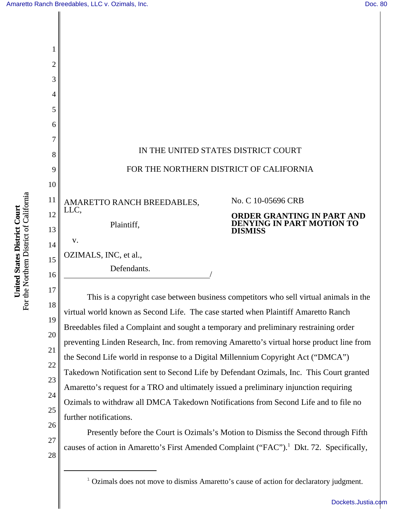[Dockets.Justia.com](http://dockets.justia.com/)

| 2        |                                                                                                                                                                             |                                                                                  |  |
|----------|-----------------------------------------------------------------------------------------------------------------------------------------------------------------------------|----------------------------------------------------------------------------------|--|
| 3        |                                                                                                                                                                             |                                                                                  |  |
| 4        |                                                                                                                                                                             |                                                                                  |  |
| 5        |                                                                                                                                                                             |                                                                                  |  |
| 6        |                                                                                                                                                                             |                                                                                  |  |
| 7        |                                                                                                                                                                             |                                                                                  |  |
| 8        | IN THE UNITED STATES DISTRICT COURT                                                                                                                                         |                                                                                  |  |
| 9        | FOR THE NORTHERN DISTRICT OF CALIFORNIA                                                                                                                                     |                                                                                  |  |
| 10       |                                                                                                                                                                             |                                                                                  |  |
| 11       | AMARETTO RANCH BREEDABLES,<br>LLC.                                                                                                                                          | No. C 10-05696 CRB                                                               |  |
| 12<br>13 | Plaintiff,                                                                                                                                                                  | ORDER GRANTING IN PART AND<br><b>DENYING IN PART MOTION TO</b><br><b>DISMISS</b> |  |
| 14       | V.                                                                                                                                                                          |                                                                                  |  |
| 15       | OZIMALS, INC, et al.,                                                                                                                                                       |                                                                                  |  |
| 16       | Defendants.                                                                                                                                                                 |                                                                                  |  |
| 17       |                                                                                                                                                                             |                                                                                  |  |
| 18       | This is a copyright case between business competitors who sell virtual animals in the<br>virtual world known as Second Life. The case started when Plaintiff Amaretto Ranch |                                                                                  |  |
| 19       | Breedables filed a Complaint and sought a temporary and preliminary restraining order                                                                                       |                                                                                  |  |
| 20       | preventing Linden Research, Inc. from removing Amaretto's virtual horse product line from                                                                                   |                                                                                  |  |
| 21       | the Second Life world in response to a Digital Millennium Copyright Act ("DMCA")                                                                                            |                                                                                  |  |
| 22       | Takedown Notification sent to Second Life by Defendant Ozimals, Inc. This Court granted                                                                                     |                                                                                  |  |
| 23       | Amaretto's request for a TRO and ultimately issued a preliminary injunction requiring                                                                                       |                                                                                  |  |
| 24       | Ozimals to withdraw all DMCA Takedown Notifications from Second Life and to file no                                                                                         |                                                                                  |  |
| 25       | further notifications.                                                                                                                                                      |                                                                                  |  |
| 26       | Presently before the Court is Ozimals's Motion to Dismiss the Second through Fifth                                                                                          |                                                                                  |  |
| 27       | causes of action in Amaretto's First Amended Complaint ("FAC"). <sup>1</sup> Dkt. 72. Specifically,                                                                         |                                                                                  |  |

<sup>1</sup> Ozimals does not move to dismiss Amaretto's cause of action for declaratory judgment.

**United States District Court**<br>For the Northern District of California For the Northern District of California **United States District Court**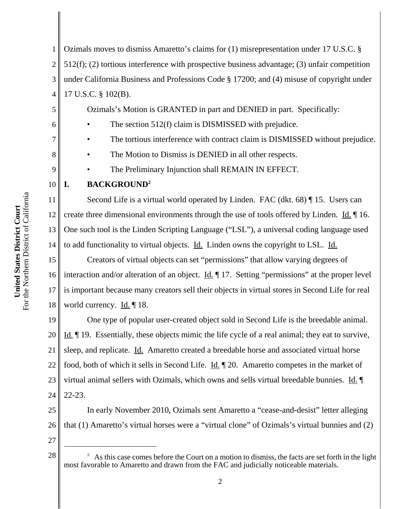6

7

8

9

1 2 3 4 Ozimals moves to dismiss Amaretto's claims for (1) misrepresentation under 17 U.S.C. § 512(f); (2) tortious interference with prospective business advantage; (3) unfair competition under California Business and Professions Code § 17200; and (4) misuse of copyright under 17 U.S.C. § 102(B).

Ozimals's Motion is GRANTED in part and DENIED in part. Specifically:

The section 512(f) claim is DISMISSED with prejudice.

The tortious interference with contract claim is DISMISSED without prejudice.

The Motion to Dismiss is DENIED in all other respects.

The Preliminary Injunction shall REMAIN IN EFFECT.

## **I. BACKGROUND2**

Second Life is a virtual world operated by Linden. FAC (dkt. 68) ¶ 15. Users can create three dimensional environments through the use of tools offered by Linden. Id. 16. One such tool is the Linden Scripting Language ("LSL"), a universal coding language used to add functionality to virtual objects. Id. Linden owns the copyright to LSL. Id.

18 Creators of virtual objects can set "permissions" that allow varying degrees of interaction and/or alteration of an object.  $\underline{Id}$ .  $\P$  17. Setting "permissions" at the proper level is important because many creators sell their objects in virtual stores in Second Life for real world currency. Id. ¶ 18.

19 20 21 22 23 24 One type of popular user-created object sold in Second Life is the breedable animal. Id. ¶ 19. Essentially, these objects mimic the life cycle of a real animal; they eat to survive, sleep, and replicate. Id. Amaretto created a breedable horse and associated virtual horse food, both of which it sells in Second Life. Id. 1 20. Amaretto competes in the market of virtual animal sellers with Ozimals, which owns and sells virtual breedable bunnies. Id. ¶ 22-23.

25 26 In early November 2010, Ozimals sent Amaretto a "cease-and-desist" letter alleging that (1) Amaretto's virtual horses were a "virtual clone" of Ozimals's virtual bunnies and (2)

 $28 \parallel$  <sup>2</sup> As this case comes before the Court on a motion to dismiss, the facts are set forth in the light most favorable to Amaretto and drawn from the FAC and judicially noticeable materials.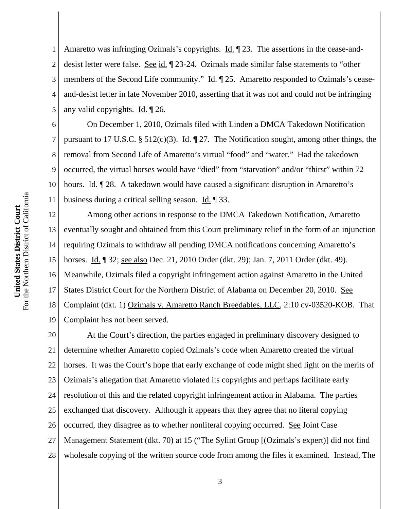8

9

11

1 2 3 4 5 Amaretto was infringing Ozimals's copyrights. Id. 123. The assertions in the cease-anddesist letter were false. See id. ¶ 23-24. Ozimals made similar false statements to "other members of the Second Life community." Id. 125. Amaretto responded to Ozimals's ceaseand-desist letter in late November 2010, asserting that it was not and could not be infringing any valid copyrights. Id. ¶ 26.

6 10 On December 1, 2010, Ozimals filed with Linden a DMCA Takedown Notification pursuant to 17 U.S.C. § 512(c)(3). Id.  $\parallel$  27. The Notification sought, among other things, the removal from Second Life of Amaretto's virtual "food" and "water." Had the takedown occurred, the virtual horses would have "died" from "starvation" and/or "thirst" within 72 hours. Id. ¶ 28. A takedown would have caused a significant disruption in Amaretto's business during a critical selling season. Id. ¶ 33.

12 13 14 15 16 17 18 19 Among other actions in response to the DMCA Takedown Notification, Amaretto eventually sought and obtained from this Court preliminary relief in the form of an injunction requiring Ozimals to withdraw all pending DMCA notifications concerning Amaretto's horses. Id. ¶ 32; see also Dec. 21, 2010 Order (dkt. 29); Jan. 7, 2011 Order (dkt. 49). Meanwhile, Ozimals filed a copyright infringement action against Amaretto in the United States District Court for the Northern District of Alabama on December 20, 2010. See Complaint (dkt. 1) Ozimals v. Amaretto Ranch Breedables, LLC, 2:10 cv-03520-KOB. That Complaint has not been served.

20 21 22 23 24 25 26 27 28 At the Court's direction, the parties engaged in preliminary discovery designed to determine whether Amaretto copied Ozimals's code when Amaretto created the virtual horses. It was the Court's hope that early exchange of code might shed light on the merits of Ozimals's allegation that Amaretto violated its copyrights and perhaps facilitate early resolution of this and the related copyright infringement action in Alabama. The parties exchanged that discovery. Although it appears that they agree that no literal copying occurred, they disagree as to whether nonliteral copying occurred. See Joint Case Management Statement (dkt. 70) at 15 ("The Sylint Group [(Ozimals's expert)] did not find wholesale copying of the written source code from among the files it examined. Instead, The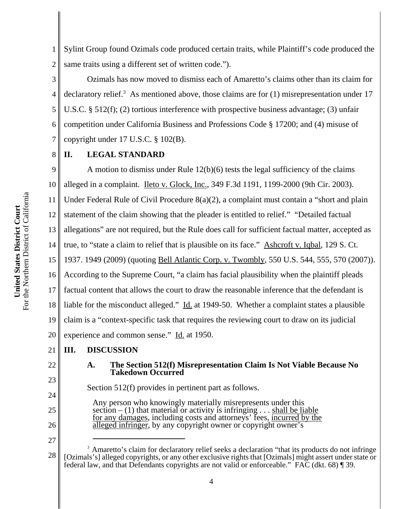1 2 Sylint Group found Ozimals code produced certain traits, while Plaintiff's code produced the same traits using a different set of written code.").

3 4 5 6 7 Ozimals has now moved to dismiss each of Amaretto's claims other than its claim for declaratory relief.<sup>3</sup> As mentioned above, those claims are for  $(1)$  misrepresentation under 17 U.S.C. § 512(f); (2) tortious interference with prospective business advantage; (3) unfair competition under California Business and Professions Code § 17200; and (4) misuse of copyright under 17 U.S.C. § 102(B).

#### 8 **II. LEGAL STANDARD**

9 10 11 12 13 14 15 16 17 18 19 20 A motion to dismiss under Rule 12(b)(6) tests the legal sufficiency of the claims alleged in a complaint. Ileto v. Glock, Inc., 349 F.3d 1191, 1199-2000 (9th Cir. 2003). Under Federal Rule of Civil Procedure 8(a)(2), a complaint must contain a "short and plain statement of the claim showing that the pleader is entitled to relief." "Detailed factual allegations" are not required, but the Rule does call for sufficient factual matter, accepted as true, to "state a claim to relief that is plausible on its face." Ashcroft v. Iqbal, 129 S. Ct. 1937. 1949 (2009) (quoting Bell Atlantic Corp. v. Twombly, 550 U.S. 544, 555, 570 (2007)). According to the Supreme Court, "a claim has facial plausibility when the plaintiff pleads factual content that allows the court to draw the reasonable inference that the defendant is liable for the misconduct alleged." Id. at 1949-50. Whether a complaint states a plausible claim is a "context-specific task that requires the reviewing court to draw on its judicial experience and common sense." Id. at 1950.

#### 21 **III. DISCUSSION**

22

23

24

25

26

27

**A. The Section 512(f) Misrepresentation Claim Is Not Viable Because No Takedown Occurred**

Section 512(f) provides in pertinent part as follows.

Any person who knowingly materially misrepresents under this section  $- (1)$  that material or activity is infringing  $\ldots$  shall be liable for any damages, including costs and attorneys' fees, incurred by the alleged infringer, by any copyright owner or copyright owner's

<sup>28</sup> <sup>3</sup> Amaretto's claim for declaratory relief seeks a declaration "that its products do not infringe [Ozimals's] alleged copyrights, or any other exclusive rights that [Ozimals] might assert under state or federal law, and that Defendants copyrights are not valid or enforceable." FAC (dkt. 68) ¶ 39.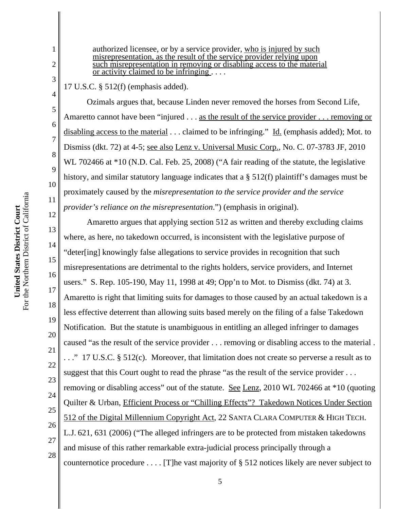1

2

3

9

10

11

13

14

15

17

18

19

21

22

23

24

27

authorized licensee, or by a service provider, who is injured by such misrepresentation, as the result of the service provider relying upon such misrepresentation in removing or disabling access to the material or activity claimed to be infringing . . . .

17 U.S.C. § 512(f) (emphasis added).

Ozimals argues that, because Linden never removed the horses from Second Life, Amaretto cannot have been "injured . . . as the result of the service provider . . . removing or disabling access to the material . . . claimed to be infringing." Id. (emphasis added); Mot. to Dismiss (dkt. 72) at 4-5; see also Lenz v. Universal Music Corp., No. C. 07-3783 JF, 2010 WL 702466 at \*10 (N.D. Cal. Feb. 25, 2008) ("A fair reading of the statute, the legislative history, and similar statutory language indicates that a § 512(f) plaintiff's damages must be proximately caused by the *misrepresentation to the service provider and the service provider's reliance on the misrepresentation*.") (emphasis in original).

12 16 20 25 26 28 Amaretto argues that applying section 512 as written and thereby excluding claims where, as here, no takedown occurred, is inconsistent with the legislative purpose of "deter[ing] knowingly false allegations to service provides in recognition that such misrepresentations are detrimental to the rights holders, service providers, and Internet users." S. Rep. 105-190, May 11, 1998 at 49; Opp'n to Mot. to Dismiss (dkt. 74) at 3. Amaretto is right that limiting suits for damages to those caused by an actual takedown is a less effective deterrent than allowing suits based merely on the filing of a false Takedown Notification. But the statute is unambiguous in entitling an alleged infringer to damages caused "as the result of the service provider . . . removing or disabling access to the material . . . ." 17 U.S.C. § 512(c). Moreover, that limitation does not create so perverse a result as to suggest that this Court ought to read the phrase "as the result of the service provider ... removing or disabling access" out of the statute. See Lenz, 2010 WL 702466 at \*10 (quoting Quilter & Urban, Efficient Process or "Chilling Effects"? Takedown Notices Under Section 512 of the Digital Millennium Copyright Act, 22 SANTA CLARA COMPUTER & HIGH TECH. L.J. 621, 631 (2006) ("The alleged infringers are to be protected from mistaken takedowns and misuse of this rather remarkable extra-judicial process principally through a counternotice procedure . . . . [T]he vast majority of § 512 notices likely are never subject to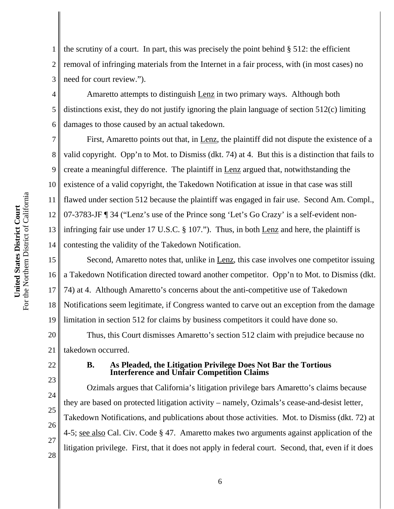1 2 3 the scrutiny of a court. In part, this was precisely the point behind  $\S$  512: the efficient removal of infringing materials from the Internet in a fair process, with (in most cases) no need for court review.").

4 6 Amaretto attempts to distinguish Lenz in two primary ways. Although both distinctions exist, they do not justify ignoring the plain language of section 512(c) limiting damages to those caused by an actual takedown.

7 8 9 10 11 12 13 14 First, Amaretto points out that, in Lenz, the plaintiff did not dispute the existence of a valid copyright. Opp'n to Mot. to Dismiss (dkt. 74) at 4. But this is a distinction that fails to create a meaningful difference. The plaintiff in Lenz argued that, notwithstanding the existence of a valid copyright, the Takedown Notification at issue in that case was still flawed under section 512 because the plaintiff was engaged in fair use. Second Am. Compl., 07-3783-JF ¶ 34 ("Lenz's use of the Prince song 'Let's Go Crazy' is a self-evident noninfringing fair use under 17 U.S.C. § 107."). Thus, in both <u>Lenz</u> and here, the plaintiff is contesting the validity of the Takedown Notification.

15 16 17 18 19 Second, Amaretto notes that, unlike in Lenz, this case involves one competitor issuing a Takedown Notification directed toward another competitor. Opp'n to Mot. to Dismiss (dkt. 74) at 4. Although Amaretto's concerns about the anti-competitive use of Takedown Notifications seem legitimate, if Congress wanted to carve out an exception from the damage limitation in section 512 for claims by business competitors it could have done so.

20 21 Thus, this Court dismisses Amaretto's section 512 claim with prejudice because no takedown occurred.

22

23

24

25

26

27

28

5

### **B. As Pleaded, the Litigation Privilege Does Not Bar the Tortious Interference and Unfair Competition Claims**

Ozimals argues that California's litigation privilege bars Amaretto's claims because they are based on protected litigation activity – namely, Ozimals's cease-and-desist letter, Takedown Notifications, and publications about those activities. Mot. to Dismiss (dkt. 72) at 4-5; see also Cal. Civ. Code § 47. Amaretto makes two arguments against application of the litigation privilege. First, that it does not apply in federal court. Second, that, even if it does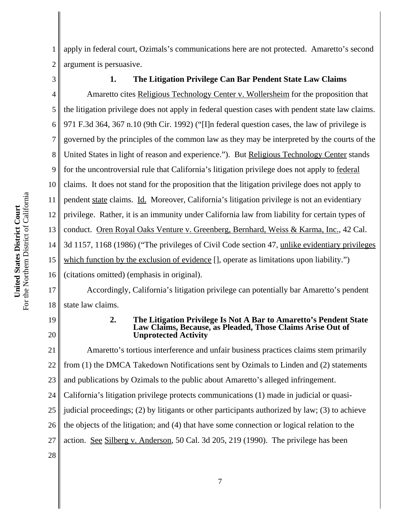1 2 apply in federal court, Ozimals's communications here are not protected. Amaretto's second argument is persuasive.

3

## **1. The Litigation Privilege Can Bar Pendent State Law Claims**

4 5 6 7 8 9 10 11 12 13 14 15 16 Amaretto cites Religious Technology Center v. Wollersheim for the proposition that the litigation privilege does not apply in federal question cases with pendent state law claims. 971 F.3d 364, 367 n.10 (9th Cir. 1992) ("[I]n federal question cases, the law of privilege is governed by the principles of the common law as they may be interpreted by the courts of the United States in light of reason and experience."). But Religious Technology Center stands for the uncontroversial rule that California's litigation privilege does not apply to federal claims. It does not stand for the proposition that the litigation privilege does not apply to pendent state claims. Id. Moreover, California's litigation privilege is not an evidentiary privilege. Rather, it is an immunity under California law from liability for certain types of conduct. Oren Royal Oaks Venture v. Greenberg, Bernhard, Weiss & Karma, Inc., 42 Cal. 3d 1157, 1168 (1986) ("The privileges of Civil Code section 47, unlike evidentiary privileges which function by the exclusion of evidence  $\left[\right]$ , operate as limitations upon liability.") (citations omitted) (emphasis in original).

Accordingly, California's litigation privilege can potentially bar Amaretto's pendent state law claims.

19 20

17

18

#### **2. The Litigation Privilege Is Not A Bar to Amaretto's Pendent State Law Claims, Because, as Pleaded, Those Claims Arise Out of Unprotected Activity**

21 22 23 24 25 26 27 28 Amaretto's tortious interference and unfair business practices claims stem primarily from (1) the DMCA Takedown Notifications sent by Ozimals to Linden and (2) statements and publications by Ozimals to the public about Amaretto's alleged infringement. California's litigation privilege protects communications (1) made in judicial or quasijudicial proceedings; (2) by litigants or other participants authorized by law; (3) to achieve the objects of the litigation; and (4) that have some connection or logical relation to the action. See Silberg v. Anderson, 50 Cal. 3d 205, 219 (1990). The privilege has been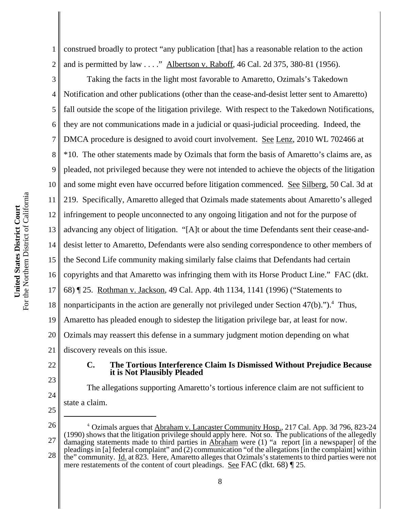1 2 construed broadly to protect "any publication [that] has a reasonable relation to the action and is permitted by law . . . ." Albertson v. Raboff, 46 Cal. 2d 375, 380-81 (1956).

3 4 5 6 7 8 9 10 11 12 13 14 15 16 17 18 19 20 21 Taking the facts in the light most favorable to Amaretto, Ozimals's Takedown Notification and other publications (other than the cease-and-desist letter sent to Amaretto) fall outside the scope of the litigation privilege. With respect to the Takedown Notifications, they are not communications made in a judicial or quasi-judicial proceeding. Indeed, the DMCA procedure is designed to avoid court involvement. See Lenz, 2010 WL 702466 at \*10. The other statements made by Ozimals that form the basis of Amaretto's claims are, as pleaded, not privileged because they were not intended to achieve the objects of the litigation and some might even have occurred before litigation commenced. See Silberg, 50 Cal. 3d at 219. Specifically, Amaretto alleged that Ozimals made statements about Amaretto's alleged infringement to people unconnected to any ongoing litigation and not for the purpose of advancing any object of litigation. "[A]t or about the time Defendants sent their cease-anddesist letter to Amaretto, Defendants were also sending correspondence to other members of the Second Life community making similarly false claims that Defendants had certain copyrights and that Amaretto was infringing them with its Horse Product Line." FAC (dkt. 68) ¶ 25. Rothman v. Jackson, 49 Cal. App. 4th 1134, 1141 (1996) ("Statements to nonparticipants in the action are generally not privileged under Section  $47(b)$ .").<sup>4</sup> Thus, Amaretto has pleaded enough to sidestep the litigation privilege bar, at least for now. Ozimals may reassert this defense in a summary judgment motion depending on what discovery reveals on this issue.

22

23

24

#### **C. The Tortious Interference Claim Is Dismissed Without Prejudice Because it is Not Plausibly Pleaded**

The allegations supporting Amaretto's tortious inference claim are not sufficient to state a claim.

<sup>26</sup> 27 28 <sup>4</sup> Ozimals argues that **Abraham v. Lancaster Community Hosp.**, 217 Cal. App. 3d 796, 823-24 (1990) shows that the litigation privilege should apply here. Not so. The publications of the allegedly damaging statements made to third parties in Abraham were (1) "a report [in a newspaper] of the pleadings in [a] federal complaint" and (2) communication "of the allegations [in the complaint] within the" community. Id. at 823. Here, Amaretto alleges that Ozimals's statements to third parties were not mere restatements of the content of court pleadings. See FAC (dkt. 68) [25.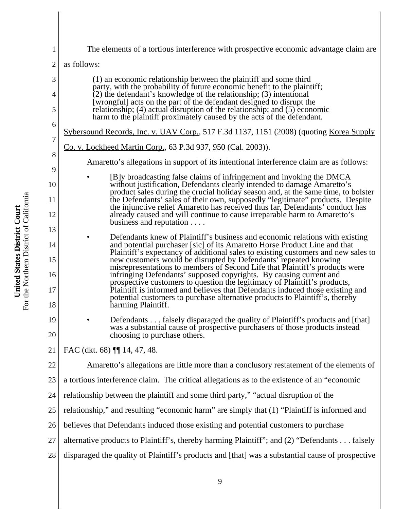| $\mathbf{1}$             | The elements of a tortious interference with prospective economic advantage claim are                                                                                                                                                                                                                                                                                                                                                                |  |
|--------------------------|------------------------------------------------------------------------------------------------------------------------------------------------------------------------------------------------------------------------------------------------------------------------------------------------------------------------------------------------------------------------------------------------------------------------------------------------------|--|
| $\overline{2}$           | as follows:                                                                                                                                                                                                                                                                                                                                                                                                                                          |  |
| 3<br>$\overline{4}$<br>5 | (1) an economic relationship between the plaintiff and some third<br>party, with the probability of future economic benefit to the plaintiff;<br>$(2)$ the defendant's knowledge of the relationship; (3) intentional<br>[wrongful] acts on the part of the defendant designed to disrupt the<br>relationship; (4) actual disruption of the relationship; and (5) economic<br>harm to the plaintiff proximately caused by the acts of the defendant. |  |
| 6                        | Sybersound Records, Inc. v. UAV Corp., 517 F.3d 1137, 1151 (2008) (quoting Korea Supply                                                                                                                                                                                                                                                                                                                                                              |  |
| $\boldsymbol{7}$         | <u>Co. v. Lockheed Martin Corp.</u> , 63 P.3d 937, 950 (Cal. 2003)).                                                                                                                                                                                                                                                                                                                                                                                 |  |
| $8\,$                    | Amaretto's allegations in support of its intentional interference claim are as follows:                                                                                                                                                                                                                                                                                                                                                              |  |
| 9<br>10                  | [B]y broadcasting false claims of infringement and invoking the DMCA<br>without justification, Defendants clearly intended to damage Amaretto's                                                                                                                                                                                                                                                                                                      |  |
| 11                       | product sales during the crucial holiday season and, at the same time, to bolster<br>the Defendants' sales of their own, supposedly "legitimate" products. Despite<br>the injunctive relief Amaretto has received thus far, Defendants' conduct has                                                                                                                                                                                                  |  |
| 12                       | already caused and will continue to cause irreparable harm to Amaretto's<br>business and reputation $\dots$                                                                                                                                                                                                                                                                                                                                          |  |
| 13<br>14                 | Defendants knew of Plaintiff's business and economic relations with existing<br>and potential purchaser [sic] of its Amaretto Horse Product Line and that                                                                                                                                                                                                                                                                                            |  |
| 15                       | Plaintiff's expectancy of additional sales to existing customers and new sales to<br>new customers would be disrupted by Defendants' repeated knowing                                                                                                                                                                                                                                                                                                |  |
| 16<br>17                 | misrepresentations to members of Second Life that Plaintiff's products were<br>infringing Defendants' supposed copyrights. By causing current and<br>prospective customers to question the legitimacy of Plaintiff's products,<br>Plaintiff is informed and believes that Defendants induced those existing and<br>potential customers to purchase alternative products to Plaintiff's, thereby                                                      |  |
| 18                       | harming Plaintiff.                                                                                                                                                                                                                                                                                                                                                                                                                                   |  |
| 19<br>20                 | Defendants falsely disparaged the quality of Plaintiff's products and [that]<br>was a substantial cause of prospective purchasers of those products instead<br>choosing to purchase others.                                                                                                                                                                                                                                                          |  |
| 21                       | FAC (dkt. 68) [14, 47, 48.                                                                                                                                                                                                                                                                                                                                                                                                                           |  |
| 22                       | Amaretto's allegations are little more than a conclusory restatement of the elements of                                                                                                                                                                                                                                                                                                                                                              |  |
| 23                       | a tortious interference claim. The critical allegations as to the existence of an "economic                                                                                                                                                                                                                                                                                                                                                          |  |
| 24                       | relationship between the plaintiff and some third party," "actual disruption of the                                                                                                                                                                                                                                                                                                                                                                  |  |
| 25                       | relationship," and resulting "economic harm" are simply that (1) "Plaintiff is informed and                                                                                                                                                                                                                                                                                                                                                          |  |
| 26                       | believes that Defendants induced those existing and potential customers to purchase                                                                                                                                                                                                                                                                                                                                                                  |  |
| 27                       | alternative products to Plaintiff's, thereby harming Plaintiff"; and (2) "Defendants falsely                                                                                                                                                                                                                                                                                                                                                         |  |
| 28                       | disparaged the quality of Plaintiff's products and [that] was a substantial cause of prospective                                                                                                                                                                                                                                                                                                                                                     |  |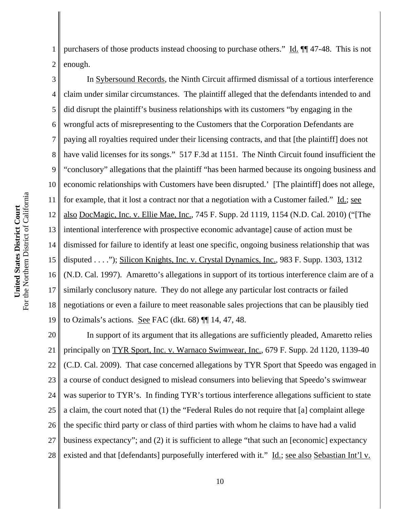1 2 purchasers of those products instead choosing to purchase others." Id. ¶¶ 47-48.This is not enough.

3 4 5 6 7 8 9 10 11 12 13 14 15 16 17 18 19 In Sybersound Records, the Ninth Circuit affirmed dismissal of a tortious interference claim under similar circumstances. The plaintiff alleged that the defendants intended to and did disrupt the plaintiff's business relationships with its customers "by engaging in the wrongful acts of misrepresenting to the Customers that the Corporation Defendants are paying all royalties required under their licensing contracts, and that [the plaintiff] does not have valid licenses for its songs." 517 F.3d at 1151. The Ninth Circuit found insufficient the "conclusory" allegations that the plaintiff "has been harmed because its ongoing business and economic relationships with Customers have been disrupted.' [The plaintiff] does not allege, for example, that it lost a contract nor that a negotiation with a Customer failed." Id.; see also DocMagic, Inc. v. Ellie Mae, Inc., 745 F. Supp. 2d 1119, 1154 (N.D. Cal. 2010) ("[The intentional interference with prospective economic advantage] cause of action must be dismissed for failure to identify at least one specific, ongoing business relationship that was disputed . . . ."); Silicon Knights, Inc. v. Crystal Dynamics, Inc., 983 F. Supp. 1303, 1312 (N.D. Cal. 1997). Amaretto's allegations in support of its tortious interference claim are of a similarly conclusory nature. They do not allege any particular lost contracts or failed negotiations or even a failure to meet reasonable sales projections that can be plausibly tied to Ozimals's actions. See FAC (dkt. 68) ¶¶ 14, 47, 48.

20 21 22 23 24 25 26 27 28 In support of its argument that its allegations are sufficiently pleaded, Amaretto relies principally on TYR Sport, Inc. v. Warnaco Swimwear, Inc., 679 F. Supp. 2d 1120, 1139-40 (C.D. Cal. 2009). That case concerned allegations by TYR Sport that Speedo was engaged in a course of conduct designed to mislead consumers into believing that Speedo's swimwear was superior to TYR's. In finding TYR's tortious interference allegations sufficient to state a claim, the court noted that (1) the "Federal Rules do not require that [a] complaint allege the specific third party or class of third parties with whom he claims to have had a valid business expectancy"; and (2) it is sufficient to allege "that such an [economic] expectancy existed and that [defendants] purposefully interfered with it." Id.; see also Sebastian Int'l v.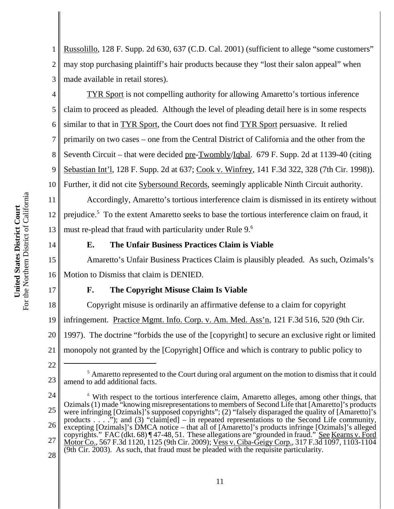1 2 3 Russolillo, 128 F. Supp. 2d 630, 637 (C.D. Cal. 2001) (sufficient to allege "some customers" may stop purchasing plaintiff's hair products because they "lost their salon appeal" when made available in retail stores).

4 5 6 7 8 9 TYR Sport is not compelling authority for allowing Amaretto's tortious inference claim to proceed as pleaded. Although the level of pleading detail here is in some respects similar to that in TYR Sport, the Court does not find TYR Sport persuasive. It relied primarily on two cases – one from the Central District of California and the other from the Seventh Circuit – that were decided pre-Twombly/Iqbal. 679 F. Supp. 2d at 1139-40 (citing Sebastian Int'l, 128 F. Supp. 2d at 637; Cook v. Winfrey, 141 F.3d 322, 328 (7th Cir. 1998)). Further, it did not cite Sybersound Records, seemingly applicable Ninth Circuit authority.

Accordingly, Amaretto's tortious interference claim is dismissed in its entirety without prejudice.<sup>5</sup> To the extent Amaretto seeks to base the tortious interference claim on fraud, it must re-plead that fraud with particularity under Rule 9.<sup>6</sup>

14

17

18

## **E. The Unfair Business Practices Claim is Viable**

15 16 Amaretto's Unfair Business Practices Claim is plausibly pleaded. As such, Ozimals's Motion to Dismiss that claim is DENIED.

### **F. The Copyright Misuse Claim Is Viable**

Copyright misuse is ordinarily an affirmative defense to a claim for copyright

19 infringement. Practice Mgmt. Info. Corp. v. Am. Med. Ass'n, 121 F.3d 516, 520 (9th Cir.

20 1997). The doctrine "forbids the use of the [copyright] to secure an exclusive right or limited

21 monopoly not granted by the [Copyright] Office and which is contrary to public policy to

<sup>22</sup>

<sup>&</sup>lt;sup>5</sup> Amaretto represented to the Court during oral argument on the motion to dismiss that it could amend to add additional facts.

<sup>24</sup> 25 26 27 28 <sup>6</sup> With respect to the tortious interference claim, Amaretto alleges, among other things, that Ozimals (1) made "knowing misrepresentations to members of Second Life that [Amaretto]'s products were infringing [Ozimals]'s supposed copyrights"; (2) "falsely disparaged the quality of [Amaretto]'s products . . . ."); and (3) "claim[ed] – in repeated representations to the Second Life community, excepting [Ozimals]'s DMCA notice – that all of [Amaretto]'s products infringe [Ozimals]'s alleged copyrights." FAC (dkt. 68) ¶ 47-48, 51. These allegations are "grounded in fraud." See Kearns v. Ford Motor Co., 567 F.3d 1120, 1125 (9th Cir. 2009); Vess v. Ciba-Geigy Corp., 317 F.3d 1097, 1103-1104 (9th Cir. 2003). As such, that fraud must be pleaded with the requisite particularity.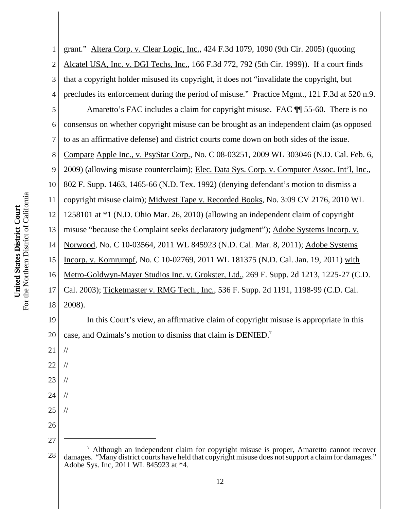4 5 6 7 8 9 10 For the Northern District of California For the Northern District of California 11 United States District Court **United States District Court** 12 13 14 15 16 17 18

1 2 3 19 20 21 22 23 24 25 26 27 grant." Altera Corp. v. Clear Logic, Inc., 424 F.3d 1079, 1090 (9th Cir. 2005) (quoting Alcatel USA, Inc. v. DGI Techs, Inc., 166 F.3d 772, 792 (5th Cir. 1999)). If a court finds that a copyright holder misused its copyright, it does not "invalidate the copyright, but precludes its enforcement during the period of misuse." Practice Mgmt., 121 F.3d at 520 n.9. Amaretto's FAC includes a claim for copyright misuse. FAC ¶¶ 55-60. There is no consensus on whether copyright misuse can be brought as an independent claim (as opposed to as an affirmative defense) and district courts come down on both sides of the issue. Compare Apple Inc., v. PsyStar Corp., No. C 08-03251, 2009 WL 303046 (N.D. Cal. Feb. 6, 2009) (allowing misuse counterclaim); Elec. Data Sys. Corp. v. Computer Assoc. Int'l, Inc., 802 F. Supp. 1463, 1465-66 (N.D. Tex. 1992) (denying defendant's motion to dismiss a copyright misuse claim); Midwest Tape v. Recorded Books, No. 3:09 CV 2176, 2010 WL 1258101 at \*1 (N.D. Ohio Mar. 26, 2010) (allowing an independent claim of copyright misuse "because the Complaint seeks declaratory judgment"); Adobe Systems Incorp. v. Norwood, No. C 10-03564, 2011 WL 845923 (N.D. Cal. Mar. 8, 2011); Adobe Systems Incorp. v. Kornrumpf, No. C 10-02769, 2011 WL 181375 (N.D. Cal. Jan. 19, 2011) with Metro-Goldwyn-Mayer Studios Inc. v. Grokster, Ltd., 269 F. Supp. 2d 1213, 1225-27 (C.D. Cal. 2003); Ticketmaster v. RMG Tech., Inc., 536 F. Supp. 2d 1191, 1198-99 (C.D. Cal. 2008). In this Court's view, an affirmative claim of copyright misuse is appropriate in this case, and Ozimals's motion to dismiss that claim is DENIED.7 // // // // //

<sup>28</sup> <sup>7</sup> Although an independent claim for copyright misuse is proper, Amaretto cannot recover damages. "Many district courts have held that copyright misuse does not support a claim for damages." Adobe Sys. Inc, 2011 WL 845923 at \*4.